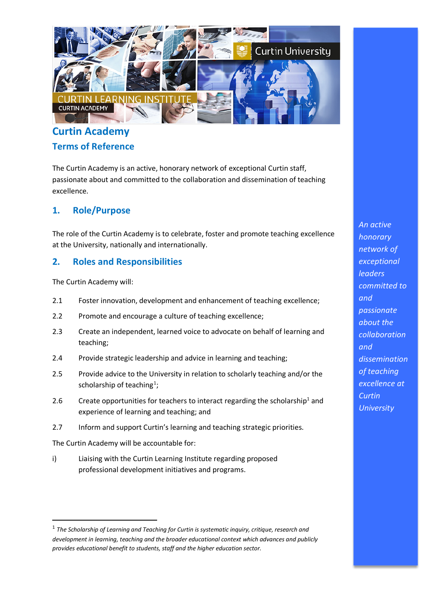## **Curtin Academy Terms of Reference**

The Curtin Academy is an active, honorary network of exceptional Curtin staff, passionate about and committed to the collaboration and dissemination of teaching excellence.

## **1. Role/Purpose**

The role of the Curtin Academy is to celebrate, foster and promote teaching excellence at the University, nationally and internationally.

## **2. Roles and Responsibilities**

The Curtin Academy will:

- 2.1 Foster innovation, development and enhancement of teaching excellence;
- 2.2 Promote and encourage a culture of teaching excellence;
- 2.3 Create an independent, learned voice to advocate on behalf of learning and teaching;
- 2.4 Provide strategic leadership and advice in learning and teaching;
- 2.5 Provide advice to the University in relation to scholarly teaching and/or the scholarship of teaching<sup>1</sup>;
- 2.6 Create opportunities for teachers to interact regarding the scholarship<sup>1</sup> and experience of learning and teaching; and
- 2.7 Inform and support Curtin's learning and teaching strategic priorities. The

Curtin Academy will be accountable for:

i) Liaising with the Curtin Learning Institute regarding proposed professional development initiatives and programs.

*honorary network of exceptional leaders committed to and passionate about the collaboration and dissemination of teaching excellence at Curtin University*

*An active* 

<sup>1</sup> *The Scholarship of Learning and Teaching for Curtin is systematic inquiry, critique, research and development in learning, teaching and the broader educational context which advances and publicly provides educational benefit to students, staff and the higher education sector.*